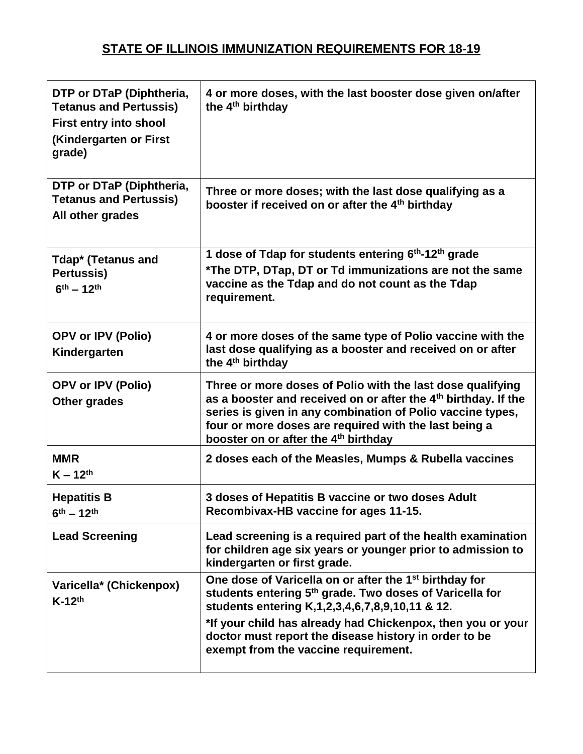## **STATE OF ILLINOIS IMMUNIZATION REQUIREMENTS FOR 18-19**

| DTP or DTaP (Diphtheria,<br><b>Tetanus and Pertussis)</b><br><b>First entry into shool</b><br>(Kindergarten or First<br>grade) | 4 or more doses, with the last booster dose given on/after<br>the 4 <sup>th</sup> birthday                                                                                                                                                                                                                                                                   |
|--------------------------------------------------------------------------------------------------------------------------------|--------------------------------------------------------------------------------------------------------------------------------------------------------------------------------------------------------------------------------------------------------------------------------------------------------------------------------------------------------------|
| DTP or DTaP (Diphtheria,<br><b>Tetanus and Pertussis)</b><br>All other grades                                                  | Three or more doses; with the last dose qualifying as a<br>booster if received on or after the 4 <sup>th</sup> birthday                                                                                                                                                                                                                                      |
| Tdap* (Tetanus and<br>Pertussis)<br>$6^{th} - 12^{th}$                                                                         | 1 dose of Tdap for students entering 6 <sup>th</sup> -12 <sup>th</sup> grade<br>*The DTP, DTap, DT or Td immunizations are not the same<br>vaccine as the Tdap and do not count as the Tdap<br>requirement.                                                                                                                                                  |
| <b>OPV or IPV (Polio)</b><br>Kindergarten                                                                                      | 4 or more doses of the same type of Polio vaccine with the<br>last dose qualifying as a booster and received on or after<br>the 4 <sup>th</sup> birthday                                                                                                                                                                                                     |
| <b>OPV or IPV (Polio)</b><br>Other grades                                                                                      | Three or more doses of Polio with the last dose qualifying<br>as a booster and received on or after the 4 <sup>th</sup> birthday. If the<br>series is given in any combination of Polio vaccine types,<br>four or more doses are required with the last being a<br>booster on or after the 4 <sup>th</sup> birthday                                          |
| <b>MMR</b><br>$K - 12^{th}$                                                                                                    | 2 doses each of the Measles, Mumps & Rubella vaccines                                                                                                                                                                                                                                                                                                        |
| <b>Hepatitis B</b><br>$6^{th} - 12^{th}$                                                                                       | 3 doses of Hepatitis B vaccine or two doses Adult<br>Recombivax-HB vaccine for ages 11-15.                                                                                                                                                                                                                                                                   |
| <b>Lead Screening</b>                                                                                                          | Lead screening is a required part of the health examination<br>for children age six years or younger prior to admission to<br>kindergarten or first grade.                                                                                                                                                                                                   |
| Varicella* (Chickenpox)<br>$K-12th$                                                                                            | One dose of Varicella on or after the 1 <sup>st</sup> birthday for<br>students entering 5 <sup>th</sup> grade. Two doses of Varicella for<br>students entering K,1,2,3,4,6,7,8,9,10,11 & 12.<br>*If your child has already had Chickenpox, then you or your<br>doctor must report the disease history in order to be<br>exempt from the vaccine requirement. |